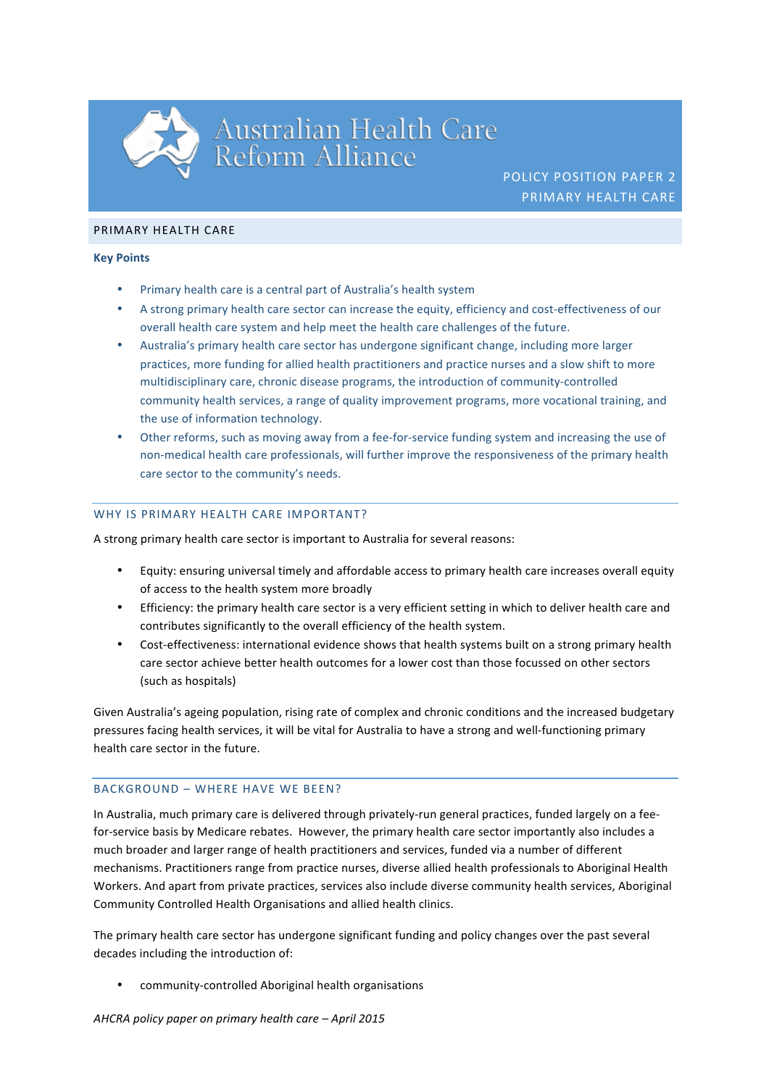

# Australian Health Care<br>Reform Alliance

POLICY POSITION PAPER 2 PRIMARY HEALTH CARE

# PRIMARY HEALTH CARE

## **Key Points**

- Primary health care is a central part of Australia's health system
- A strong primary health care sector can increase the equity, efficiency and cost-effectiveness of our overall health care system and help meet the health care challenges of the future.
- Australia's primary health care sector has undergone significant change, including more larger practices, more funding for allied health practitioners and practice nurses and a slow shift to more multidisciplinary care, chronic disease programs, the introduction of community-controlled community health services, a range of quality improvement programs, more vocational training, and the use of information technology.
- Other reforms, such as moving away from a fee-for-service funding system and increasing the use of non-medical health care professionals, will further improve the responsiveness of the primary health care sector to the community's needs.

# WHY IS PRIMARY HEALTH CARE IMPORTANT?

A strong primary health care sector is important to Australia for several reasons:

- Equity: ensuring universal timely and affordable access to primary health care increases overall equity of access to the health system more broadly
- Efficiency: the primary health care sector is a very efficient setting in which to deliver health care and contributes significantly to the overall efficiency of the health system.
- Cost-effectiveness: international evidence shows that health systems built on a strong primary health care sector achieve better health outcomes for a lower cost than those focussed on other sectors (such as hospitals)

Given Australia's ageing population, rising rate of complex and chronic conditions and the increased budgetary pressures facing health services, it will be vital for Australia to have a strong and well-functioning primary health care sector in the future.

### BACKGROUND - WHERE HAVE WE BEEN?

In Australia, much primary care is delivered through privately-run general practices, funded largely on a feefor-service basis by Medicare rebates. However, the primary health care sector importantly also includes a much broader and larger range of health practitioners and services, funded via a number of different mechanisms. Practitioners range from practice nurses, diverse allied health professionals to Aboriginal Health Workers. And apart from private practices, services also include diverse community health services, Aboriginal Community Controlled Health Organisations and allied health clinics.

The primary health care sector has undergone significant funding and policy changes over the past several decades including the introduction of:

• community-controlled Aboriginal health organisations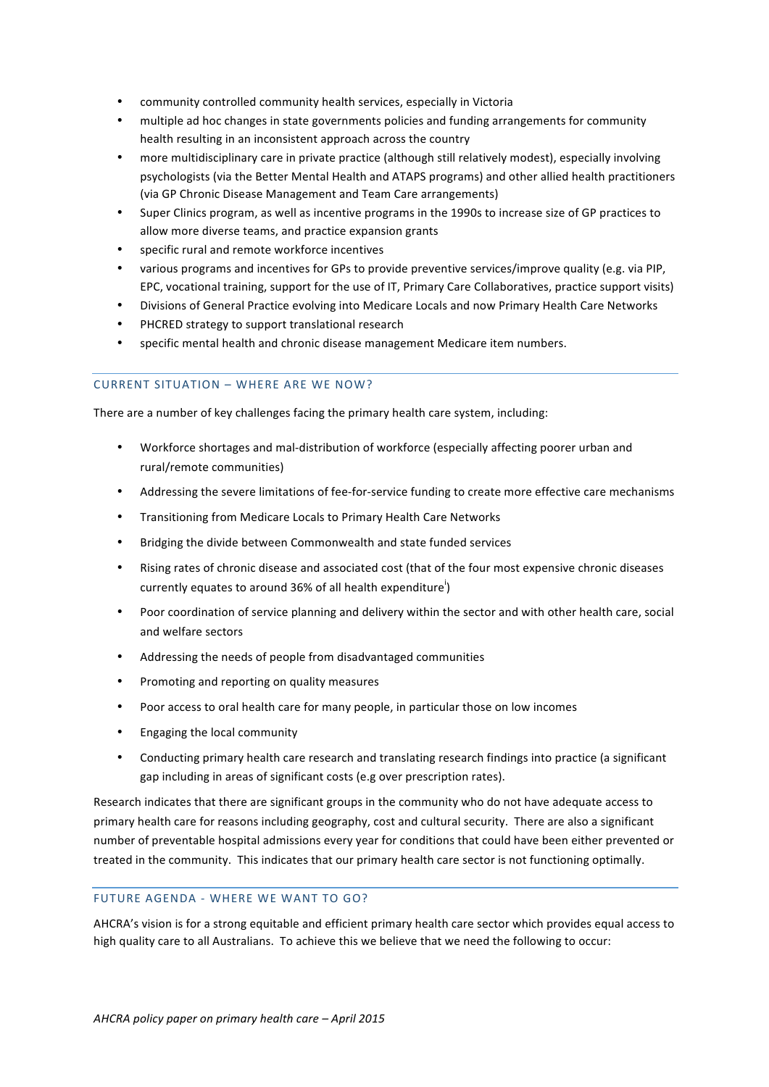- community controlled community health services, especially in Victoria
- multiple ad hoc changes in state governments policies and funding arrangements for community health resulting in an inconsistent approach across the country
- more multidisciplinary care in private practice (although still relatively modest), especially involving psychologists (via the Better Mental Health and ATAPS programs) and other allied health practitioners (via GP Chronic Disease Management and Team Care arrangements)
- Super Clinics program, as well as incentive programs in the 1990s to increase size of GP practices to allow more diverse teams, and practice expansion grants
- specific rural and remote workforce incentives
- various programs and incentives for GPs to provide preventive services/improve quality (e.g. via PIP, EPC, vocational training, support for the use of IT, Primary Care Collaboratives, practice support visits)
- Divisions of General Practice evolving into Medicare Locals and now Primary Health Care Networks
- PHCRED strategy to support translational research
- specific mental health and chronic disease management Medicare item numbers.

## CURRENT SITUATION - WHERE ARE WE NOW?

There are a number of key challenges facing the primary health care system, including:

- Workforce shortages and mal-distribution of workforce (especially affecting poorer urban and rural/remote communities)
- Addressing the severe limitations of fee-for-service funding to create more effective care mechanisms
- Transitioning from Medicare Locals to Primary Health Care Networks
- Bridging the divide between Commonwealth and state funded services
- Rising rates of chronic disease and associated cost (that of the four most expensive chronic diseases currently equates to around 36% of all health expenditure<sup>i</sup>)
- Poor coordination of service planning and delivery within the sector and with other health care, social and welfare sectors
- Addressing the needs of people from disadvantaged communities
- Promoting and reporting on quality measures
- Poor access to oral health care for many people, in particular those on low incomes
- Engaging the local community
- Conducting primary health care research and translating research findings into practice (a significant gap including in areas of significant costs (e.g over prescription rates).

Research indicates that there are significant groups in the community who do not have adequate access to primary health care for reasons including geography, cost and cultural security. There are also a significant number of preventable hospital admissions every year for conditions that could have been either prevented or treated in the community. This indicates that our primary health care sector is not functioning optimally.

### FUTURE AGENDA - WHERE WE WANT TO GO?

AHCRA's vision is for a strong equitable and efficient primary health care sector which provides equal access to high quality care to all Australians. To achieve this we believe that we need the following to occur: